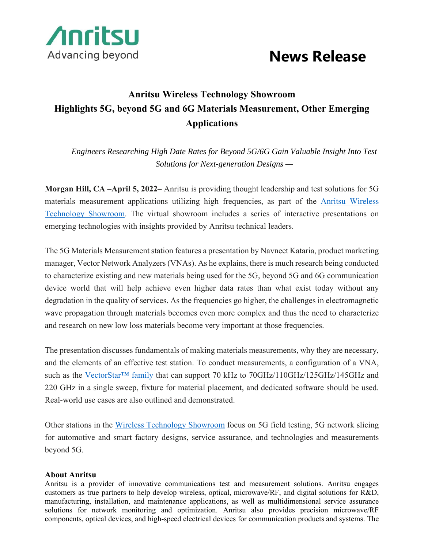

## Advancing beyond **News Release**

## **Anritsu Wireless Technology Showroom Highlights 5G, beyond 5G and 6G Materials Measurement, Other Emerging Applications**

— *Engineers Researching High Date Rates for Beyond 5G/6G Gain Valuable Insight Into Test Solutions for Next-generation Designs —* 

**Morgan Hill, CA –April 5, 2022–** Anritsu is providing thought leadership and test solutions for 5G materials measurement applications utilizing high frequencies, as part of the Anritsu Wireless Technology Showroom. The virtual showroom includes a series of interactive presentations on emerging technologies with insights provided by Anritsu technical leaders.

The 5G Materials Measurement station features a presentation by Navneet Kataria, product marketing manager, Vector Network Analyzers (VNAs). As he explains, there is much research being conducted to characterize existing and new materials being used for the 5G, beyond 5G and 6G communication device world that will help achieve even higher data rates than what exist today without any degradation in the quality of services. As the frequencies go higher, the challenges in electromagnetic wave propagation through materials becomes even more complex and thus the need to characterize and research on new low loss materials become very important at those frequencies.

The presentation discusses fundamentals of making materials measurements, why they are necessary, and the elements of an effective test station. To conduct measurements, a configuration of a VNA, such as the VectorStar<sup>TM</sup> family that can support 70 kHz to 70GHz/110GHz/125GHz/145GHz and 220 GHz in a single sweep, fixture for material placement, and dedicated software should be used. Real-world use cases are also outlined and demonstrated.

Other stations in the Wireless Technology Showroom focus on 5G field testing, 5G network slicing for automotive and smart factory designs, service assurance, and technologies and measurements beyond 5G.

## **About Anritsu**

Anritsu is a provider of innovative communications test and measurement solutions. Anritsu engages customers as true partners to help develop wireless, optical, microwave/RF, and digital solutions for R&D, manufacturing, installation, and maintenance applications, as well as multidimensional service assurance solutions for network monitoring and optimization. Anritsu also provides precision microwave/RF components, optical devices, and high-speed electrical devices for communication products and systems. The